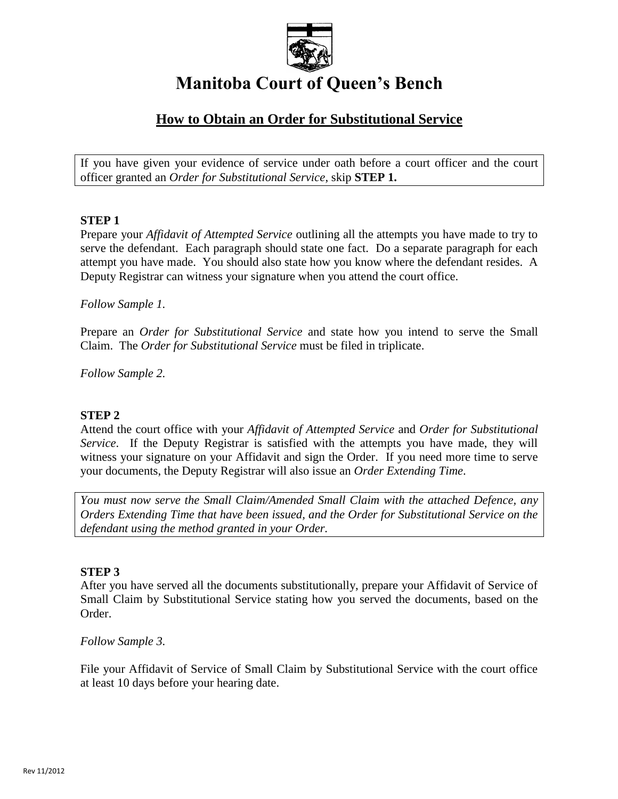

# **Manitoba Court of Queen's Bench**

# **How to Obtain an Order for Substitutional Service**

If you have given your evidence of service under oath before a court officer and the court officer granted an *Order for Substitutional Service*, skip **STEP 1.**

## **STEP 1**

Prepare your *Affidavit of Attempted Service* outlining all the attempts you have made to try to serve the defendant. Each paragraph should state one fact. Do a separate paragraph for each attempt you have made. You should also state how you know where the defendant resides. A Deputy Registrar can witness your signature when you attend the court office.

## *Follow Sample 1.*

Prepare an *Order for Substitutional Service* and state how you intend to serve the Small Claim. The *Order for Substitutional Service* must be filed in triplicate.

*Follow Sample 2.*

# **STEP 2**

Attend the court office with your *Affidavit of Attempted Service* and *Order for Substitutional Service*. If the Deputy Registrar is satisfied with the attempts you have made, they will witness your signature on your Affidavit and sign the Order. If you need more time to serve your documents, the Deputy Registrar will also issue an *Order Extending Time*.

*You must now serve the Small Claim/Amended Small Claim with the attached Defence, any Orders Extending Time that have been issued, and the Order for Substitutional Service on the defendant using the method granted in your Order.*

#### **STEP 3**

After you have served all the documents substitutionally, prepare your Affidavit of Service of Small Claim by Substitutional Service stating how you served the documents, based on the Order.

*Follow Sample 3.*

File your Affidavit of Service of Small Claim by Substitutional Service with the court office at least 10 days before your hearing date.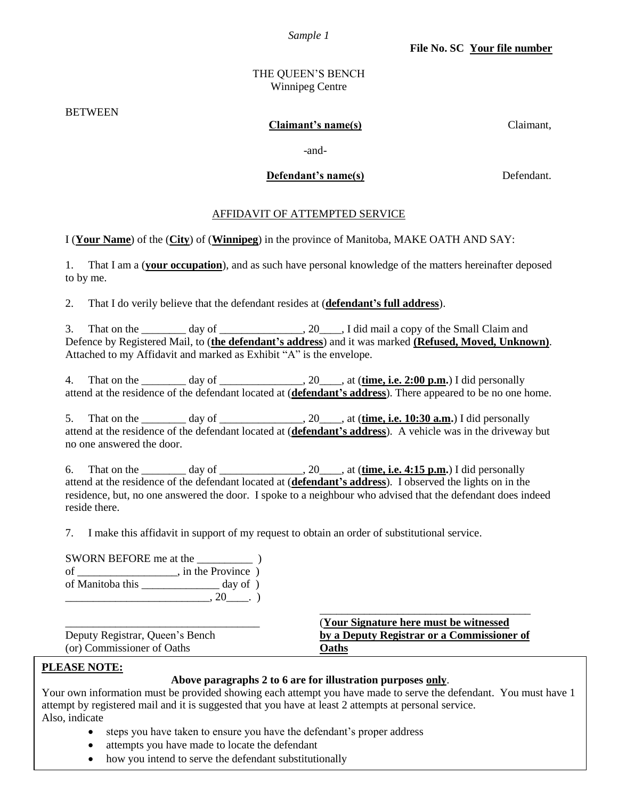*Sample 1*

#### THE QUEEN'S BENCH Winnipeg Centre

BETWEEN

#### **Claimant's name(s)** Claimant,

-and-

#### **Defendant's name(s)** Defendant.

#### AFFIDAVIT OF ATTEMPTED SERVICE

I (**Your Name**) of the (**City**) of (**Winnipeg**) in the province of Manitoba, MAKE OATH AND SAY:

1. That I am a (**your occupation**), and as such have personal knowledge of the matters hereinafter deposed to by me.

2. That I do verily believe that the defendant resides at (**defendant's full address**).

3. That on the \_\_\_\_\_\_\_\_ day of \_\_\_\_\_\_\_\_\_\_\_\_\_\_, 20\_\_\_\_, I did mail a copy of the Small Claim and Defence by Registered Mail, to (**the defendant's address**) and it was marked **(Refused, Moved, Unknown)**. Attached to my Affidavit and marked as Exhibit "A" is the envelope.

4. That on the  $\_\_\_\_\_$  day of  $\_\_\_\_\_\_$ , 20 $\_\_\_\_\_$ , at (**time, i.e. 2:00 p.m.**) I did personally attend at the residence of the defendant located at (**defendant's address**). There appeared to be no one home.

5. That on the \_\_\_\_\_\_\_\_ day of \_\_\_\_\_\_\_\_\_\_\_\_\_\_\_, 20\_\_\_\_, at (**time, i.e. 10:30 a.m.**) I did personally attend at the residence of the defendant located at (**defendant's address**). A vehicle was in the driveway but no one answered the door.

6. That on the \_\_\_\_\_\_\_\_ day of \_\_\_\_\_\_\_\_\_\_\_\_\_\_\_, 20\_\_\_\_, at (**time, i.e. 4:15 p.m.**) I did personally attend at the residence of the defendant located at (**defendant's address**). I observed the lights on in the residence, but, no one answered the door. I spoke to a neighbour who advised that the defendant does indeed reside there.

7. I make this affidavit in support of my request to obtain an order of substitutional service.

| SWORN BEFORE me at the |                    |
|------------------------|--------------------|
| οf                     | , in the Province) |
| of Manitoba this       | day of $)$         |
|                        |                    |

|                                 | (Your Signature here must be witnessed)    |
|---------------------------------|--------------------------------------------|
| Deputy Registrar, Queen's Bench | by a Deputy Registrar or a Commissioner of |
| (or) Commissioner of Oaths      | <b>Oaths</b>                               |

# **PLEASE NOTE:**

#### **Above paragraphs 2 to 6 are for illustration purposes only**.

\_\_\_\_\_\_\_\_\_\_\_\_\_\_\_\_\_\_\_\_\_\_\_\_\_\_\_\_\_\_\_\_\_\_\_\_\_\_

Your own information must be provided showing each attempt you have made to serve the defendant. You must have 1 attempt by registered mail and it is suggested that you have at least 2 attempts at personal service. Also, indicate

- steps you have taken to ensure you have the defendant's proper address
- attempts you have made to locate the defendant
- how you intend to serve the defendant substitutionally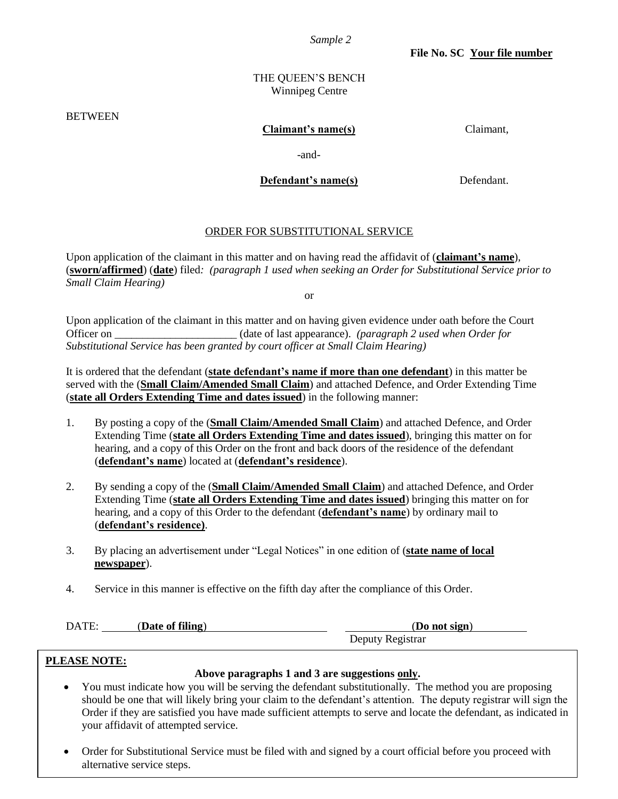*Sample 2*

**File No. SC Your file number**

#### THE QUEEN'S BENCH Winnipeg Centre

**BETWEEN** 

#### **Claimant's name(s)** Claimant,

-and-

## **Defendant's name(s)** Defendant.

#### ORDER FOR SUBSTITUTIONAL SERVICE

Upon application of the claimant in this matter and on having read the affidavit of (**claimant's name**), (**sworn/affirmed**) (**date**) filed*: (paragraph 1 used when seeking an Order for Substitutional Service prior to Small Claim Hearing)*

or

Upon application of the claimant in this matter and on having given evidence under oath before the Court Officer on \_\_\_\_\_\_\_\_\_\_\_\_\_\_\_\_\_\_\_\_\_\_ (date of last appearance). *(paragraph 2 used when Order for Substitutional Service has been granted by court officer at Small Claim Hearing)*

It is ordered that the defendant (**state defendant's name if more than one defendant**) in this matter be served with the (**Small Claim/Amended Small Claim**) and attached Defence, and Order Extending Time (**state all Orders Extending Time and dates issued**) in the following manner:

- 1. By posting a copy of the (**Small Claim/Amended Small Claim**) and attached Defence, and Order Extending Time (**state all Orders Extending Time and dates issued**), bringing this matter on for hearing, and a copy of this Order on the front and back doors of the residence of the defendant (**defendant's name**) located at (**defendant's residence**).
- 2. By sending a copy of the (**Small Claim/Amended Small Claim**) and attached Defence, and Order Extending Time (**state all Orders Extending Time and dates issued**) bringing this matter on for hearing, and a copy of this Order to the defendant (**defendant's name**) by ordinary mail to (**defendant's residence)**.
- 3. By placing an advertisement under "Legal Notices" in one edition of (**state name of local newspaper**).
- 4. Service in this manner is effective on the fifth day after the compliance of this Order.

| DATE: | (Date of filing) | (Do not sign)    |
|-------|------------------|------------------|
|       |                  | Deputy Registrar |

#### **PLEASE NOTE:**

#### **Above paragraphs 1 and 3 are suggestions only.**

- You must indicate how you will be serving the defendant substitutionally. The method you are proposing should be one that will likely bring your claim to the defendant's attention. The deputy registrar will sign the Order if they are satisfied you have made sufficient attempts to serve and locate the defendant, as indicated in your affidavit of attempted service.
- Order for Substitutional Service must be filed with and signed by a court official before you proceed with alternative service steps.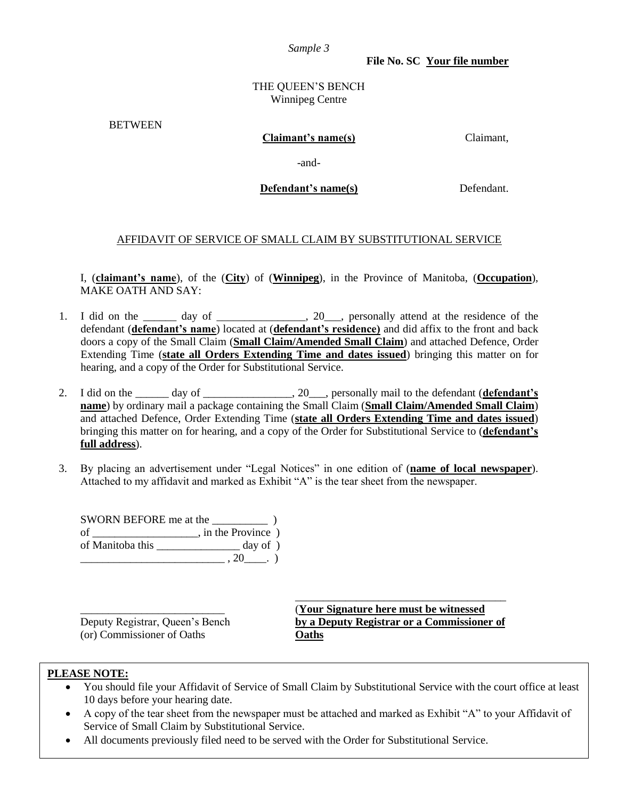*Sample 3*

**File No. SC Your file number**

#### THE QUEEN'S BENCH Winnipeg Centre

**BETWEEN** 

#### **Claimant's name(s)** Claimant,

-and-

**Defendant's name(s)** Defendant.

#### AFFIDAVIT OF SERVICE OF SMALL CLAIM BY SUBSTITUTIONAL SERVICE

I, (**claimant's name**), of the (**City**) of (**Winnipeg**), in the Province of Manitoba, (**Occupation**), MAKE OATH AND SAY:

- 1. I did on the day of \_\_\_\_\_\_\_\_, 20\_\_, personally attend at the residence of the defendant (**defendant's name**) located at (**defendant's residence)** and did affix to the front and back doors a copy of the Small Claim (**Small Claim/Amended Small Claim**) and attached Defence, Order Extending Time (**state all Orders Extending Time and dates issued**) bringing this matter on for hearing, and a copy of the Order for Substitutional Service.
- 2. I did on the \_\_\_\_\_\_ day of \_\_\_\_\_\_\_\_\_\_\_\_\_\_\_\_, 20\_\_\_, personally mail to the defendant (**defendant's name**) by ordinary mail a package containing the Small Claim (**Small Claim/Amended Small Claim**) and attached Defence, Order Extending Time (**state all Orders Extending Time and dates issued**) bringing this matter on for hearing, and a copy of the Order for Substitutional Service to (**defendant's full address**).
- 3. By placing an advertisement under "Legal Notices" in one edition of (**name of local newspaper**). Attached to my affidavit and marked as Exhibit "A" is the tear sheet from the newspaper.

SWORN BEFORE me at the  $\qquad$ ) of \_\_\_\_\_\_\_\_\_\_\_\_\_\_\_\_\_\_\_\_, in the Province ) of Manitoba this \_\_\_\_\_\_\_\_\_\_\_\_\_\_\_ day of )  $, 20 \quad .)$ 

(or) Commissioner of Oaths **Oaths**

\_\_\_\_\_\_\_\_\_\_\_\_\_\_\_\_\_\_\_\_\_\_\_\_\_\_ (**Your Signature here must be witnessed** Deputy Registrar, Queen's Bench **by a Deputy Registrar or a Commissioner of**

\_\_\_\_\_\_\_\_\_\_\_\_\_\_\_\_\_\_\_\_\_\_\_\_\_\_\_\_\_\_\_\_\_\_\_\_\_\_

#### **PLEASE NOTE:**

- You should file your Affidavit of Service of Small Claim by Substitutional Service with the court office at least 10 days before your hearing date.
- A copy of the tear sheet from the newspaper must be attached and marked as Exhibit "A" to your Affidavit of Service of Small Claim by Substitutional Service.
- All documents previously filed need to be served with the Order for Substitutional Service.